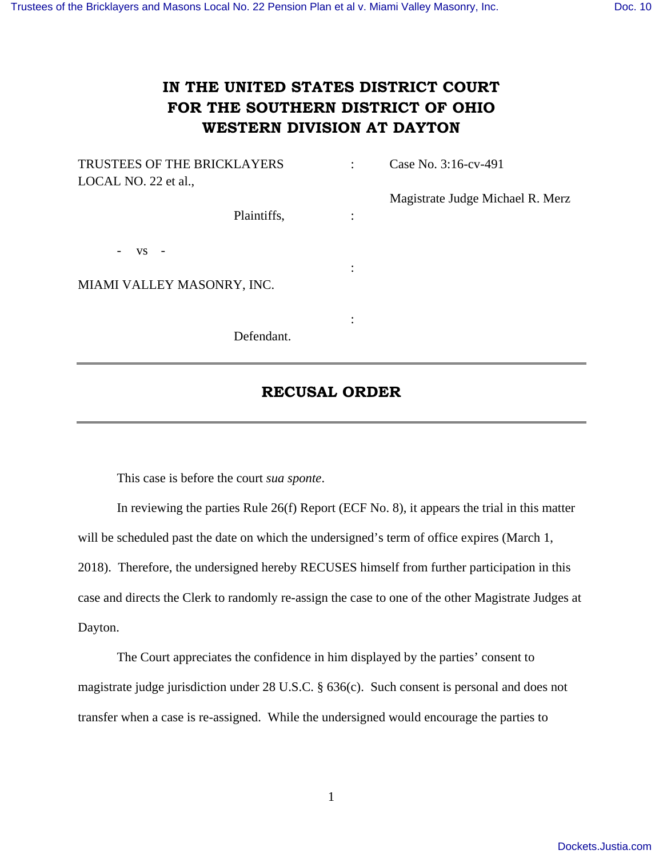## **IN THE UNITED STATES DISTRICT COURT FOR THE SOUTHERN DISTRICT OF OHIO WESTERN DIVISION AT DAYTON**

| TRUSTEES OF THE BRICKLAYERS           | ٠ | Case No. 3:16-cv-491             |
|---------------------------------------|---|----------------------------------|
| LOCAL NO. 22 et al.,                  |   |                                  |
|                                       |   | Magistrate Judge Michael R. Merz |
| Plaintiffs,                           | ٠ |                                  |
|                                       |   |                                  |
| <b>VS</b><br>$\overline{\phantom{0}}$ |   |                                  |
|                                       |   |                                  |
| MIAMI VALLEY MASONRY, INC.            |   |                                  |
|                                       |   |                                  |
|                                       | ٠ |                                  |
| Defendant.                            |   |                                  |

## **RECUSAL ORDER**

This case is before the court *sua sponte*.

 In reviewing the parties Rule 26(f) Report (ECF No. 8), it appears the trial in this matter will be scheduled past the date on which the undersigned's term of office expires (March 1, 2018). Therefore, the undersigned hereby RECUSES himself from further participation in this case and directs the Clerk to randomly re-assign the case to one of the other Magistrate Judges at Dayton.

 The Court appreciates the confidence in him displayed by the parties' consent to magistrate judge jurisdiction under 28 U.S.C. § 636(c). Such consent is personal and does not transfer when a case is re-assigned. While the undersigned would encourage the parties to